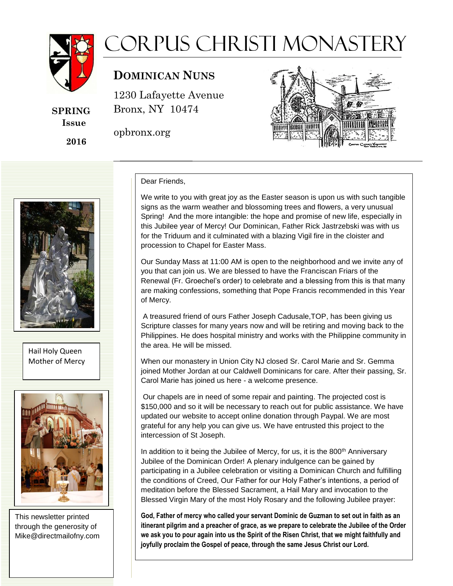

**SPRING Issue**

 **2016**

## Corpus Christi Monastery

## **DOMINICAN NUNS OMINICAN UNS**

1230 Lafayette Avenue 1230 Lafayette Avenue Bronx, NY 10474 Bronx, NY 10474

opbronx.org

j



## Dear Friends,

We write to you with great joy as the Easter season is upon us with such tangible signs as the warm weather and blossoming trees and flowers, a very unusual Spring! And the more intangible: the hope and promise of new life, especially in this Jubilee year of Mercy! Our Dominican, Father Rick Jastrzebski was with us for the Triduum and it culminated with a blazing Vigil fire in the cloister and procession to Chapel for Easter Mass.

Our Sunday Mass at 11:00 AM is open to the neighborhood and we invite any of you that can join us. We are blessed to have the Franciscan Friars of the Renewal (Fr. Groechel's order) to celebrate and a blessing from this is that many are making confessions, something that Pope Francis recommended in this Year of Mercy.

A treasured friend of ours Father Joseph Cadusale,TOP, has been giving us Scripture classes for many years now and will be retiring and moving back to the Philippines. He does hospital ministry and works with the Philippine community in the area. He will be missed.

When our monastery in Union City NJ closed Sr. Carol Marie and Sr. Gemma joined Mother Jordan at our Caldwell Dominicans for care. After their passing, Sr. Carol Marie has joined us here - a welcome presence.

Our chapels are in need of some repair and painting. The projected cost is \$150,000 and so it will be necessary to reach out for public assistance. We have updated our website to accept online donation through Paypal. We are most grateful for any help you can give us. We have entrusted this project to the intercession of St Joseph.

In addition to it being the Jubilee of Mercy, for us, it is the 800<sup>th</sup> Anniversary Jubilee of the Dominican Order! A plenary indulgence can be gained by participating in a Jubilee celebration or visiting a Dominican Church and fulfilling the conditions of Creed, Our Father for our Holy Father's intentions, a period of meditation before the Blessed Sacrament, a Hail Mary and invocation to the Blessed Virgin Mary of the most Holy Rosary and the following Jubilee prayer:

**God, Father of mercy who called your servant Dominic de Guzman to set out in faith as an itinerant pilgrim and a preacher of grace, as we prepare to celebrate the Jubilee of the Order we ask you to pour again into us the Spirit of the Risen Christ, that we might faithfully and joyfully proclaim the Gospel of peace, through the same Jesus Christ our Lord.** 



Hail Holy Queen Mother of Mercy



This newsletter printed through the generosity of Mike@directmailofny.com